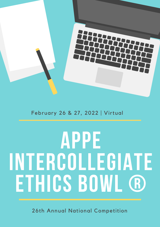

# February 26 & 27, 2022 | Virtual

# **APPE INTERCOLLEGIATE ETHICS BOWL ®**

26th Annual National Competition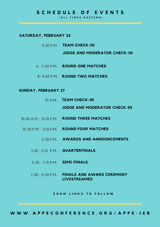### **S C H E D U L E O F E V E N T S**

**( A L L T I M E S E A S T E R N )**

#### **SATURDAY, FEBRUARY 26**

5:30 P.M. **TEAM CHECK-IN**

**JUDGE AND MODERATOR CHECK-IN**

- 6 7:45 P.M. **ROUND ONE MATCHES**
- 8- 9:45 P.M. **ROUND TWO MATCHES**

#### **SUNDAY, FEBRUARY 27**

- 10 A.M. **TEAM CHECK-IN JUDGE AND MODERATOR CHECK-IN**
- 10:30 A.M. 12:15 P.M. **ROUND THREE MATCHES**
- 12:30 P.M. 2:15 P.M. **ROUND FOUR MATCHES**
	- 2:30 P.M. **AWARDS AND ANNOUNCEMENTS**
	- 3:30 5:15 P.M. **QUARTERFINALS**
	- 5:30 7:15 P.M. **SEMI-FINALS**
	- 7:30 9:30 P.M. **FINALS AND AWARD CEREMONY LIVESTREAMED**

**Z O O M L I N K S T O F O L L O W**

WWW.APPECONFERENCE.ORG/APPE-IEB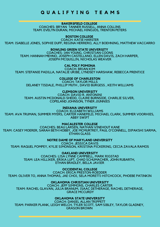## **Q U A L I F Y I N G T E A M S**

#### **BAKERSFIELD COLLEGE**

COACHES: BRYAN TANNER RUSSELL, ANNA COLLINS TEAM: EVELYN DURAN, MICHAEL HINOJOS, TRENTON PETERS

#### **BOSTON COLLEGE**

COACH: KATIE HARSTER TEAM: ISABELLE JONES, SOPHIE DUFF, REGINA HERRERO, ALLY BOEHNING, MATTHEW VACCARRO

#### **BOWLING GREEN STATE UNIVERSITY**

COACHES: IAN YOUNG, CHRISTIAN COONS TEAM: HANNAH MEHNO, JOSEPH CASTELLANO, ELLEN DAVIS, ZACH HARPER, JOSEPH MCQUILLIN, NICHOLAS WEAVER

> **CAL POLY POMONA** COACH: BRIAN KIM

TEAM: STEFANIE PADILLA, NATALIE URIBE, LYNDSEY HARSHAW, REBECCA PRENTICE

#### **COLLEGE OF CHARLESTON**

COACH: TAYLOR MILLS DELANEY TISDALE, PHILLIP MUTH , DAVID BURGESS , KEITH WILLIAMS

#### **CLEMSON UNIVERSITY**

COACH: DAVID R. ANTONINI TEAM: AUSTIN MCDONALD-SHEDD, CLAIRE BURNSIDE, CHARLIE SILVER, COPELAND JOHNSON, TYNER JIUNNIES

#### **INDIANA UNIVERSITY**

COACH: ELIZABETH WILLIAMS TEAM: AVA TRUMAN, SUMMER MYERS, CARTER HANEFELD, MICHAEL CLARK, SUMMER VOORHIES, ABBY SWIFT

**MACALESTER COLLEGE**

COACHES: BEAU LARSEN, NATHAN VINEHOUT KANE TEAM: CASEY MOERER, SARAH BETH HOBBY, JOE MCMURTREY, PAUL O'CONNELL, DIPAKSHI SARMA, ETHAN GLASS

**NOTRE DAME OF MARYLAND UNIVERSITY**

COACH: JESSICA DAVIS TEAM: RAQUEL POMPEY, KYLIE SIMONSON, KRISTINA PICKERING, CECIA ZAVALA RAMOS

**OAKLAND UNIVERSITY**

COACHES: LISA LYNNE CAMPBELL, MARK RIGSTAD TEAM: LEA HILLIKER, ERIKA LUFT, CHAD SCHUMACHER, JOHN RUBARTH, ETHAN BRADLEY, BELLA JAVIER

**OCCIDENTAL COLLEGE** COACH: ERICA PRESTON-ROEDDER TEAM: OLIVER TO, ANNA THOMAS, JAE CHOI, SELA MORETTI-HITCHCOCK, PHOEBE PATINKIN

**OKLAHOMA CHRISTIAN UNIVERSITY**

COACH: JEFF SIMMONS, CHARLES CARTER TEAM: RACHEL GLAVAN, JULIA BRANUM, ISAAC DETHERAGE, RACHEL DETHERAGE, GRACE MCCURDY

#### **OKLAHOMA STATE UNIVERSITY**

COACH: DANIEL ALLAN TRIPPETT TEAM: PARKER PLANK, LEIGH WELCH, TYLER SCOTT, SAM SIBLEY, TAYLOR GLADNEY, GRASON BROWN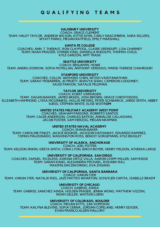## **Q U A L I F Y I N G T E A M S**

#### **SALISBURY UNIVERSITY**

COACH: GRACE CLEMENT TEAM: HALEY TAYLOR, ANDREW WILSON, KITTIE KHIN, CARLY NASCIMBENI, SARA SELLERS, WYATT PARKS, MEGAN RAYFIELD, EMILY MARSHALL

#### **SANTA FE COLLEGE**

COACHES: ANN T. THEBAUT, RON CLAYPOOL, CLAIRE ORENDUFF, LISA CHARNEY TEAM: NOAH FRAZIER, SYDNEE KING, DANIELLA RUDOLPH, THOMAS CHILD, KYLE GARZON, AMY TRASK

**SEATTLE UNIVERSITY**

COACH: BENJAMIN HOWE TEAM: ANDRU ZODROW, SOFIA MCMILLAN, ANTHONY VERDUGO, MARIE-THERESE CHAHROURI

**STANFORD UNIVERSITY**

COACHES: COLLIN ANTHONY CHEN, NITISH VAIDYANATHAN TEAM: SARAH YRIBARREN, JD PRUETT, BHAVYA SHAH, CAMERON LOUGHNEY, SAJID FAROOK, NATALIE FELDMAN

#### **TAYLOR UNIVERSITY**

COACH: KOERT VARHAGEN TEAM: EAGAN BAKKER, JAMES BRADS, JOSH BROWN, GRACE CHRISTODOSS, ELIZABETH HAMMOND, LYDIA MCGINNESS, HOLLIE MEYERS, PETER SCHWARCK, JARED SMITH, ABBEY SUESS, STEPHEN WHITE, ELISE WIXTR**OM**

#### **UNITED STATES MILITARY ACADEMY WEST POINT**

COACHES: GRAHAM PARSONS, ROBERTO SANTOS TEAM: CALEB ANDERSON, CHARLES BATKIN, ANNALISE CALLAGHAN, JACOB FOSTER, SAM HERZOG, MEGAN NKAMWA

#### **UNITED STATES NAVAL ACADEMY**

COACH: SHAUN BAKER TEAM: CAROLINE FINLEY, JACKIE BOOKER, JACKSON HATHAWAY, EDUARDO RAMIREZ, TOMAS MALDONADO, WASHINGTON ROSS, BENOIT GORGEMANS, KYLE BEASLEY

**UNIVERSITY OF ALASKA, ANCHORAGE**

COACH: JOEL POTTER TEAM: KELDON IRWIN, GRETA SMITH, CORA LYON, BIRCH BOYER, HENRY MILDON, ATHENIA LARGE

**UNIVERSITY OF CALIFORNIA, SAN DIEGO**

COACHES: SAMUEL RICKLESS, KARINA ORTIZ VILLA, AARON CHIPP-MILLER, SAM RIDGE TEAM: SARAH KANG, ALEXANDRA MICHAEL, RISHABH RAJ, MAXIMILIAN ZEKOWSKI, EVA ZHUANG

**UNIVERSITY OF CALIFORNIA, SANTA BARBARA**

COACH: VARUN IYER

TEAM: VARUN IYER, NATALIE RIES, JAZE MATTEO WHARTON, SCHUYLER CAPITA, ISABELLE BRAD**Y**

**UNIVERSITY OF CHICAGO**

COACH: GABRIEL AINSA TEAM: GABRIEL SANCHEZ AINSA, HOLDEN FRASER, JENNA WONG, MATTHEW VIZZINI, NOAH GELLER, WATSON LUBIN

#### **UNIVERSITY OF COLORADO, BOULDER**

COACH: MEGAN KITTS, ZAK KOPEIKIN TEAM: KALYNA BLEVINS, SOFIA CERNA, JORDAN COPELAND, HENRY EDIGER, EVAN FRANCO,ALDEN MALLORY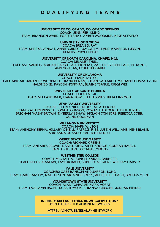## **Q U A L I F Y I N G T E A M S**

**UNIVERSITY OF COLORADO, COLORADO SPRINGS** COACH: JENNIFER KLING TEAM: BRANDON WARD, FOSTER SHAY, AMBER WOODSIDE, MIKE ACEVEDO

> **UNIVERSITY OF FLORIDA** COACH: BRIAN D. RAY

TEAM: SHREYA VENKAT, ANNIE GJINECI, JAGGER MILLARD, KAMERON LUBBEN, DENNIS KYRYCHENKO

**UNIVERSITY OF NORTH CAROLINA, CHAPEL HILL**

COACH: DELANEY THULL TEAM: ASH SANTOS, ABIGAIL BARBU, JADE MONDAY, ZACH LEIGHTON, LAUREN HAINES, ANN GOULIAN, LYDIA NUSBAUM

**UNIVERSITY OF OKLAHOMA**

COACH: MARK TAYLOR TEAM: ABIGAIL DANTZLER-WOODRUFF, DIANA DURAN, JOHAN GALLARDO, MARIANO GONZALEZ, TRE HALSTIED III, PAYDEN HOFFMAN, BLAINE TEAGUE, RUIQI WEI

**UNIVERSITY OF SOUTH FLORIDA**

COACH: BEKAH VIGIL TEAM: VELI AYDONER, LIANA HOWE, TIJEN JONES, JULIA LINKOGLE

**UTAH VALLEY UNIVERSITY**

COACH: JEFFREY NIELSEN, JOSIAH ALDERINK TEAM: KAITLYN RUSSELL, LOGAN JOHNSON, ROWAN HADLOCK, AUBRIE TURNER, BRIGHAM "HASH" BROWN, TIMBERLYN SHAW, MCLAIN CONNORS, REBECCA COBB, QUINN GOODMAN

**VILLANOVA UNIVERSITY**

COACH: MARK WILSON TEAM: ANTHONY BERNA, HILLARY O'NEILL, PATRICK RISS, JUSTIN WILLIAMS, MIKE BLAKE, ADRIANNA OGANDO, KALEIGH BRENDLE

**WEBER STATE UNIVERSITY**

COACH: RICHARD GREENE TEAM: ANTARES BROWN, DANIEL KING, ARIEL KROGUE, CONRAD RAUCH, JARED SHELTON, JORDAN SIMMONS

**WESTMINSTER COLLEGE** COACH: MICHAEL A. POPICH, KARA E. BARNETTE TEAM: CHELSEA ANOWI, TAYLOR BAUM, SOPHIE CALIGIURI, WILLIAM HARVEY

**YALE UNIVERSITY** COACHES: GABE RANSOM AND JARRON LONG TEAM: GABE RANSOM, NATE OLSON, ARIA NORCROSS, ALLIE DETTELBACH, BROOKS MEINE

**YOUNGSTOWN STATE UNIVERSITY** COACH: ALAN TOMHAVE, MARK VOPAT TEAM: EVA LAMBERSON, LUCAS TOMORY, SHIANNA GIBBONS, JORDAN PINTAR

> **IS THIS YOUR LAST ETHICS BOWL COMPETITION?** JOIN THE APPE IEB ALUMNI NETWORK®

HTTPS://LINKTR.EE/IEBALUMNINETWORK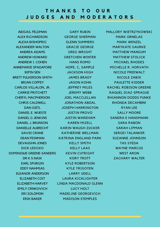## **T H A N K S T O O U R J U D G E S A N D M O D E R A T O R S**

ABIGAIL FELDMAN ALEX RICHARDSON ALEXA BISHOPRIC ALEXANDER WALTON ANDREA ADAMS ANDREW HOWARD ANDREW I. COHEN ANNEMARIE SPADAFORE BIPIN SEN BRETT FULKERSON-SMITH BRIAN COFFEY CARLOS VILLALON, JR. CARRIE PRITCHETT CHERYL MACPHERSON CHRIS CALDWELL DAN GIETL DANIEL E. WUESTE DANIEL G JENKINS DANIEL J. BRUNSON DANIELLE ALBRECHT DAVID CRANE DEAN FEINMAN DEVAUGHN JONES DICK LESICKO DOMINIQUE GREENE-SANDERS DR K S NAIK EARL SPURGIN EDDY NAHMIAS ELEANOR ANDERSON ELIZABETH COIT ELIZABETH HARVEY EMILY CRNKOVICH ERI SOLOMON ERIK BAKER

GARY RUBIN GEORGE SHERMAN GLENN SUMMERS GRACIE GEORGE GREG WRIGHT GRETCHEN WINTER HANS ROMO HOPE, C, SAMPLE JACKSON HIGH JAMES BRADY JASON KOHN JEFFREY MILES JEREMY WEBB JOEL MACCLELLAN JONATHON ABDAL JOSEPH HARRINGTON JUSTIN PROVO JUSTIN WAREHAM KAREN MIZELL KARIN WAUGH ZUCKER KATHERINE WELLMAN KATRINA ENGLAND PARK KELLY SMITH KELLY LAAS KEVIN CUTRIGHT KORY TROTT KYLE ROBERTSON KYLE YRIGOYEN LARRY UDELL LAURA KICKLIGHTER LINDA MACDONALD GLENN LUCY HOLT MADELINE GEORGEVICH MADISON STEMPLES

MALLORY WIETRZYKOWSKI MARK ORNELAS MARK WENZEL MARYKATE GAURKE MATTHEW MANGUM MATTHEW STOLICK MICHAEL RHODES MICHELLE R. HORVATH NICOLE FREEWALT NICOLE ZABIK PAULETTE KIDDER RACHEL ROBISON GREENE RAQUEL DIAZ-SPRAGUE RHIANNON DODDS FUNKE RHONDA DECAMBRE RYAN LEE SALLY MOORE SANDRA E HANSMANN SARA RABON SARAH LIPMAN SERGEI TALANKER SUZANNE JOHNSON TAS SYEDA WAYNE MARCUS WEST ARON ZACHARY WALTER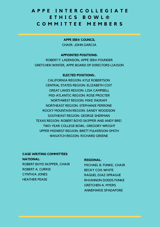## **A P P E I N T E R C O L L E G I A T E E T H I C S B O W L ® C O M M I T T E E M E M B E R S**

**APPE IEB® COUNCIL**

CHAIR: JOHN GARCIA

#### **APPOINTED POSITIONS:**

ROBERT F. LADENSON, APPE IEB® FOUNDER GRETCHEN WINTER, APPE BOARD OF DIRECTORS LIAISON

#### **ELECTED POSITIONS:.**

CALIFORNIA REGION: KYLE ROBERTSON CENTRAL STATES REGION: ELIZABETH COIT GREAT LAKES REGION: LISA CAMPBELL MID-ATLANTIC REGION: ROSE PROCTER NORTHWEST REGION: MIKE INGRAM NORTHEAST REGION: STEPHANIE FERRONE ROCKY MOUNTAIN REGION: SANDY WOODSON SOUTHEAST REGION: GEORGE SHERMAN TEXAS REGION: ROBERT BOYD SKIPPER AND ANDY BREI TWO-YEAR COLLEGE BOWL: GREGORY WRIGHT UPPER MIDWEST REGION: BRETT FULKERSON-SMITH WASATCH REGION: RICHARD GREENE

#### **CASE WRITING COMMITTEES**

**NATIONAL:** ROBERT BOYD SKIPPER, CHAIR ROBERT A. CURRIE CYNTHIA JONES HEATHER PEASE

#### **REGIONAL:**

MICHAEL B. FUNKE, CHAIR BECKY COX-WHITE RAQUEL DIAZ-SPRAGUE RHIANNON DODDS FUNKE GRETCHEN A. MYERS ANNEMARIE SPADAFORE